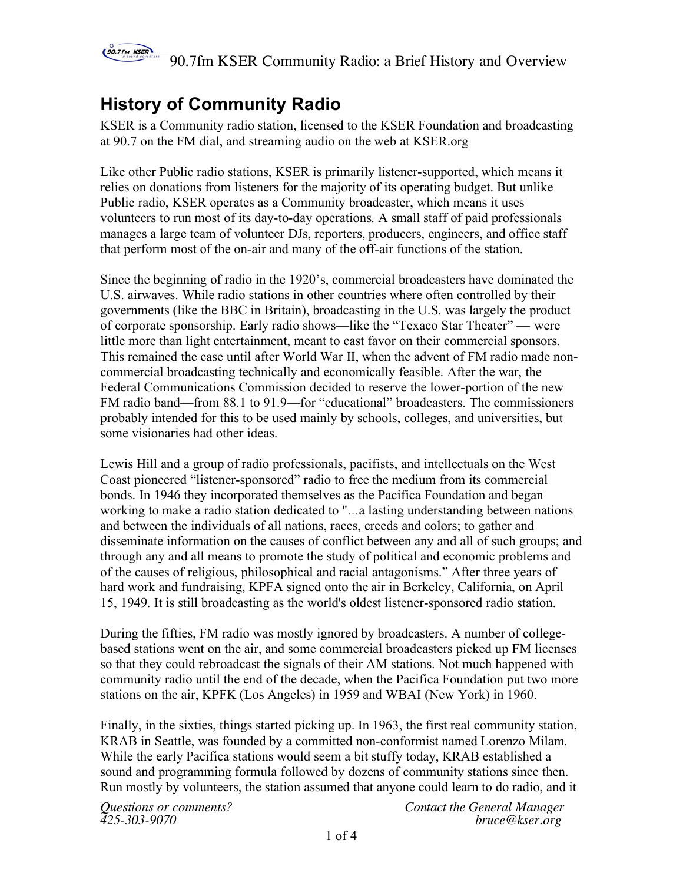

## **History of Community Radio**

KSER is a Community radio station, licensed to the KSER Foundation and broadcasting at 90.7 on the FM dial, and streaming audio on the web at KSER.org

Like other Public radio stations, KSER is primarily listener-supported, which means it relies on donations from listeners for the majority of its operating budget. But unlike Public radio, KSER operates as a Community broadcaster, which means it uses volunteers to run most of its day-to-day operations. A small staff of paid professionals manages a large team of volunteer DJs, reporters, producers, engineers, and office staff that perform most of the on-air and many of the off-air functions of the station.

Since the beginning of radio in the 1920's, commercial broadcasters have dominated the U.S. airwaves. While radio stations in other countries where often controlled by their governments (like the BBC in Britain), broadcasting in the U.S. was largely the product of corporate sponsorship. Early radio shows—like the "Texaco Star Theater" — were little more than light entertainment, meant to cast favor on their commercial sponsors. This remained the case until after World War II, when the advent of FM radio made noncommercial broadcasting technically and economically feasible. After the war, the Federal Communications Commission decided to reserve the lower-portion of the new FM radio band—from 88.1 to 91.9—for "educational" broadcasters. The commissioners probably intended for this to be used mainly by schools, colleges, and universities, but some visionaries had other ideas.

Lewis Hill and a group of radio professionals, pacifists, and intellectuals on the West Coast pioneered "listener-sponsored" radio to free the medium from its commercial bonds. In 1946 they incorporated themselves as the Pacifica Foundation and began working to make a radio station dedicated to "…a lasting understanding between nations and between the individuals of all nations, races, creeds and colors; to gather and disseminate information on the causes of conflict between any and all of such groups; and through any and all means to promote the study of political and economic problems and of the causes of religious, philosophical and racial antagonisms." After three years of hard work and fundraising, KPFA signed onto the air in Berkeley, California, on April 15, 1949. It is still broadcasting as the world's oldest listener-sponsored radio station.

During the fifties, FM radio was mostly ignored by broadcasters. A number of collegebased stations went on the air, and some commercial broadcasters picked up FM licenses so that they could rebroadcast the signals of their AM stations. Not much happened with community radio until the end of the decade, when the Pacifica Foundation put two more stations on the air, KPFK (Los Angeles) in 1959 and WBAI (New York) in 1960.

Finally, in the sixties, things started picking up. In 1963, the first real community station, KRAB in Seattle, was founded by a committed non-conformist named Lorenzo Milam. While the early Pacifica stations would seem a bit stuffy today, KRAB established a sound and programming formula followed by dozens of community stations since then. Run mostly by volunteers, the station assumed that anyone could learn to do radio, and it

*Questions or comments? Contact the General Manager 425-303-9070 bruce@kser.org*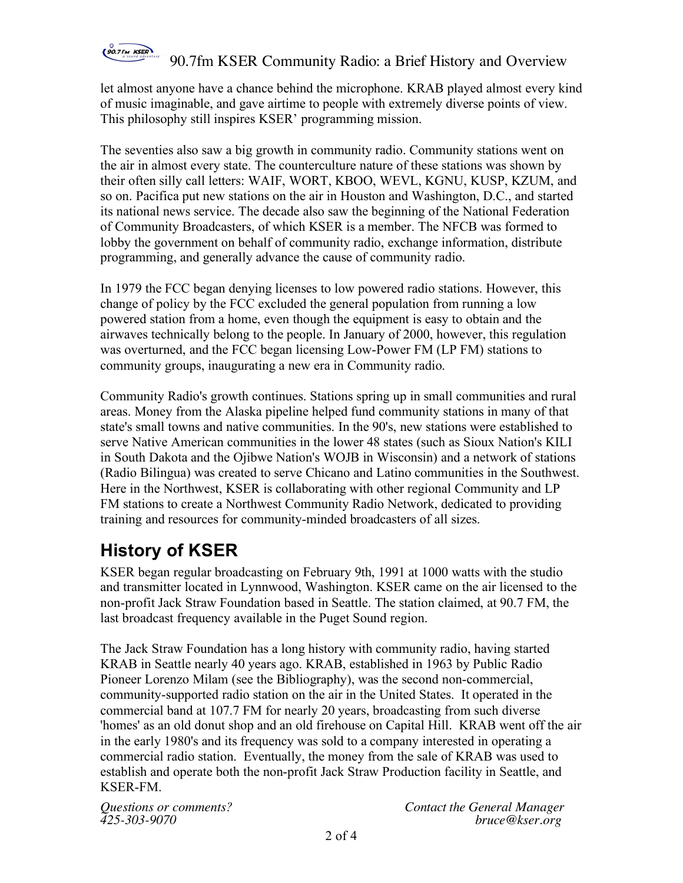

let almost anyone have a chance behind the microphone. KRAB played almost every kind of music imaginable, and gave airtime to people with extremely diverse points of view. This philosophy still inspires KSER' programming mission.

The seventies also saw a big growth in community radio. Community stations went on the air in almost every state. The counterculture nature of these stations was shown by their often silly call letters: WAIF, WORT, KBOO, WEVL, KGNU, KUSP, KZUM, and so on. Pacifica put new stations on the air in Houston and Washington, D.C., and started its national news service. The decade also saw the beginning of the National Federation of Community Broadcasters, of which KSER is a member. The NFCB was formed to lobby the government on behalf of community radio, exchange information, distribute programming, and generally advance the cause of community radio.

In 1979 the FCC began denying licenses to low powered radio stations. However, this change of policy by the FCC excluded the general population from running a low powered station from a home, even though the equipment is easy to obtain and the airwaves technically belong to the people. In January of 2000, however, this regulation was overturned, and the FCC began licensing Low-Power FM (LP FM) stations to community groups, inaugurating a new era in Community radio.

Community Radio's growth continues. Stations spring up in small communities and rural areas. Money from the Alaska pipeline helped fund community stations in many of that state's small towns and native communities. In the 90's, new stations were established to serve Native American communities in the lower 48 states (such as Sioux Nation's KILI in South Dakota and the Ojibwe Nation's WOJB in Wisconsin) and a network of stations (Radio Bilingua) was created to serve Chicano and Latino communities in the Southwest. Here in the Northwest, KSER is collaborating with other regional Community and LP FM stations to create a Northwest Community Radio Network, dedicated to providing training and resources for community-minded broadcasters of all sizes.

# **History of KSER**

KSER began regular broadcasting on February 9th, 1991 at 1000 watts with the studio and transmitter located in Lynnwood, Washington. KSER came on the air licensed to the non-profit Jack Straw Foundation based in Seattle. The station claimed, at 90.7 FM, the last broadcast frequency available in the Puget Sound region.

The Jack Straw Foundation has a long history with community radio, having started KRAB in Seattle nearly 40 years ago. KRAB, established in 1963 by Public Radio Pioneer Lorenzo Milam (see the Bibliography), was the second non-commercial, community-supported radio station on the air in the United States. It operated in the commercial band at 107.7 FM for nearly 20 years, broadcasting from such diverse 'homes' as an old donut shop and an old firehouse on Capital Hill. KRAB went off the air in the early 1980's and its frequency was sold to a company interested in operating a commercial radio station. Eventually, the money from the sale of KRAB was used to establish and operate both the non-profit Jack Straw Production facility in Seattle, and KSER-FM.

*Questions or comments? Contact the General Manager 425-303-9070 bruce@kser.org*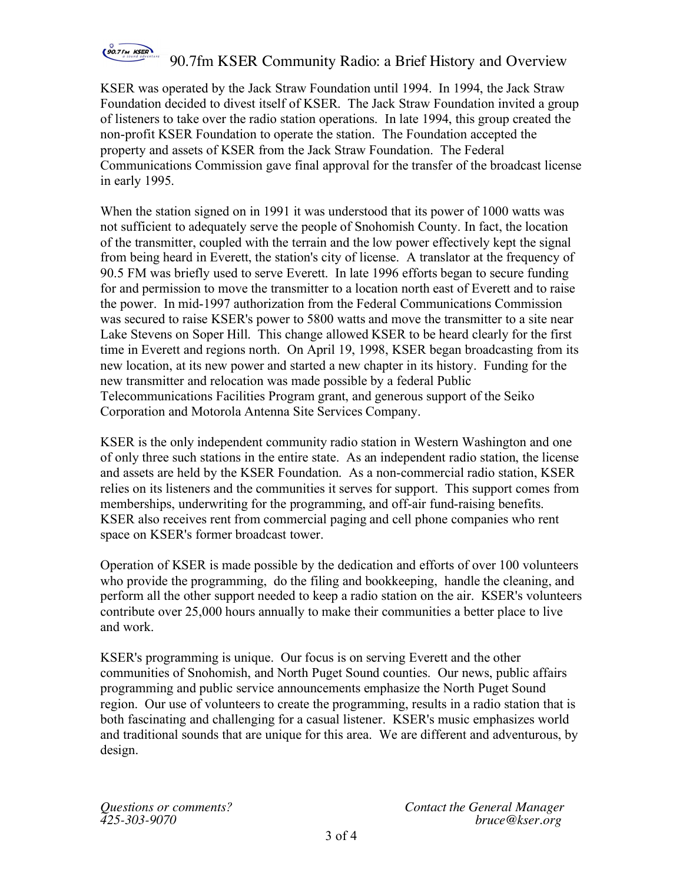

KSER was operated by the Jack Straw Foundation until 1994. In 1994, the Jack Straw Foundation decided to divest itself of KSER. The Jack Straw Foundation invited a group of listeners to take over the radio station operations. In late 1994, this group created the non-profit KSER Foundation to operate the station. The Foundation accepted the property and assets of KSER from the Jack Straw Foundation. The Federal Communications Commission gave final approval for the transfer of the broadcast license in early 1995.

When the station signed on in 1991 it was understood that its power of 1000 watts was not sufficient to adequately serve the people of Snohomish County. In fact, the location of the transmitter, coupled with the terrain and the low power effectively kept the signal from being heard in Everett, the station's city of license. A translator at the frequency of 90.5 FM was briefly used to serve Everett. In late 1996 efforts began to secure funding for and permission to move the transmitter to a location north east of Everett and to raise the power. In mid-1997 authorization from the Federal Communications Commission was secured to raise KSER's power to 5800 watts and move the transmitter to a site near Lake Stevens on Soper Hill. This change allowed KSER to be heard clearly for the first time in Everett and regions north. On April 19, 1998, KSER began broadcasting from its new location, at its new power and started a new chapter in its history. Funding for the new transmitter and relocation was made possible by a federal Public Telecommunications Facilities Program grant, and generous support of the Seiko Corporation and Motorola Antenna Site Services Company.

KSER is the only independent community radio station in Western Washington and one of only three such stations in the entire state. As an independent radio station, the license and assets are held by the KSER Foundation. As a non-commercial radio station, KSER relies on its listeners and the communities it serves for support. This support comes from memberships, underwriting for the programming, and off-air fund-raising benefits. KSER also receives rent from commercial paging and cell phone companies who rent space on KSER's former broadcast tower.

Operation of KSER is made possible by the dedication and efforts of over 100 volunteers who provide the programming, do the filing and bookkeeping, handle the cleaning, and perform all the other support needed to keep a radio station on the air. KSER's volunteers contribute over 25,000 hours annually to make their communities a better place to live and work.

KSER's programming is unique. Our focus is on serving Everett and the other communities of Snohomish, and North Puget Sound counties. Our news, public affairs programming and public service announcements emphasize the North Puget Sound region. Our use of volunteers to create the programming, results in a radio station that is both fascinating and challenging for a casual listener. KSER's music emphasizes world and traditional sounds that are unique for this area. We are different and adventurous, by design.